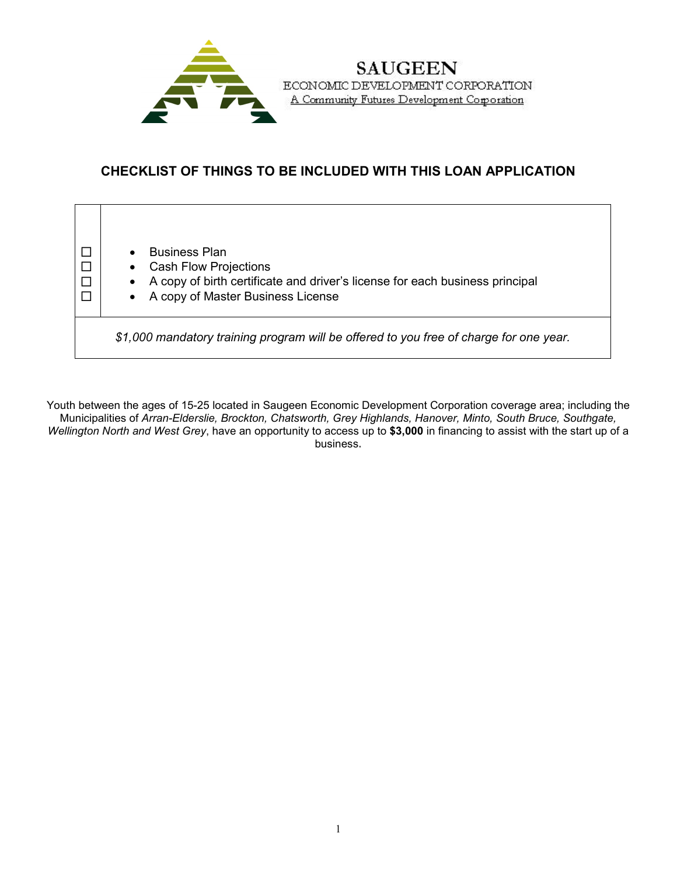

**SAUGEEN** ECONOMIC DEVELOPMENT CORPORATION A Community Futures Development Corporation

# **CHECKLIST OF THINGS TO BE INCLUDED WITH THIS LOAN APPLICATION**



Youth between the ages of 15-25 located in Saugeen Economic Development Corporation coverage area; including the Municipalities of *Arran-Elderslie, Brockton, Chatsworth, Grey Highlands, Hanover, Minto, South Bruce, Southgate, Wellington North and West Grey*, have an opportunity to access up to **\$3,000** in financing to assist with the start up of a business**.**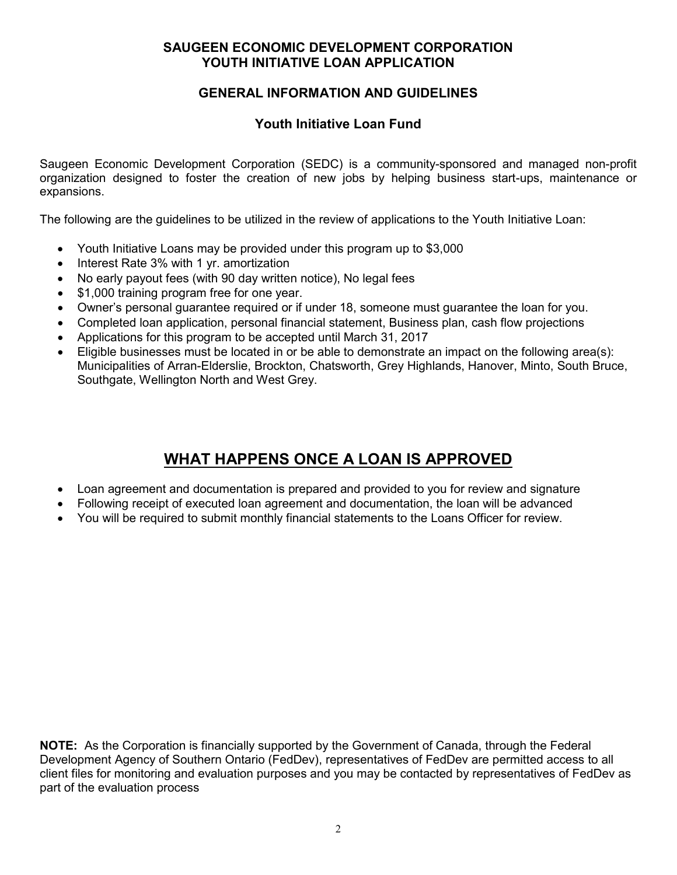# **GENERAL INFORMATION AND GUIDELINES**

# **Youth Initiative Loan Fund**

Saugeen Economic Development Corporation (SEDC) is a community-sponsored and managed non-profit organization designed to foster the creation of new jobs by helping business start-ups, maintenance or expansions.

The following are the guidelines to be utilized in the review of applications to the Youth Initiative Loan:

- Youth Initiative Loans may be provided under this program up to \$3,000
- Interest Rate 3% with 1 yr. amortization
- No early payout fees (with 90 day written notice), No legal fees
- \$1,000 training program free for one year.
- Owner's personal guarantee required or if under 18, someone must guarantee the loan for you.
- Completed loan application, personal financial statement, Business plan, cash flow projections
- Applications for this program to be accepted until March 31, 2017
- Eligible businesses must be located in or be able to demonstrate an impact on the following area(s): Municipalities of Arran-Elderslie, Brockton, Chatsworth, Grey Highlands, Hanover, Minto, South Bruce, Southgate, Wellington North and West Grey.

# **WHAT HAPPENS ONCE A LOAN IS APPROVED**

- Loan agreement and documentation is prepared and provided to you for review and signature
- Following receipt of executed loan agreement and documentation, the loan will be advanced
- You will be required to submit monthly financial statements to the Loans Officer for review.

**NOTE:** As the Corporation is financially supported by the Government of Canada, through the Federal Development Agency of Southern Ontario (FedDev), representatives of FedDev are permitted access to all client files for monitoring and evaluation purposes and you may be contacted by representatives of FedDev as part of the evaluation process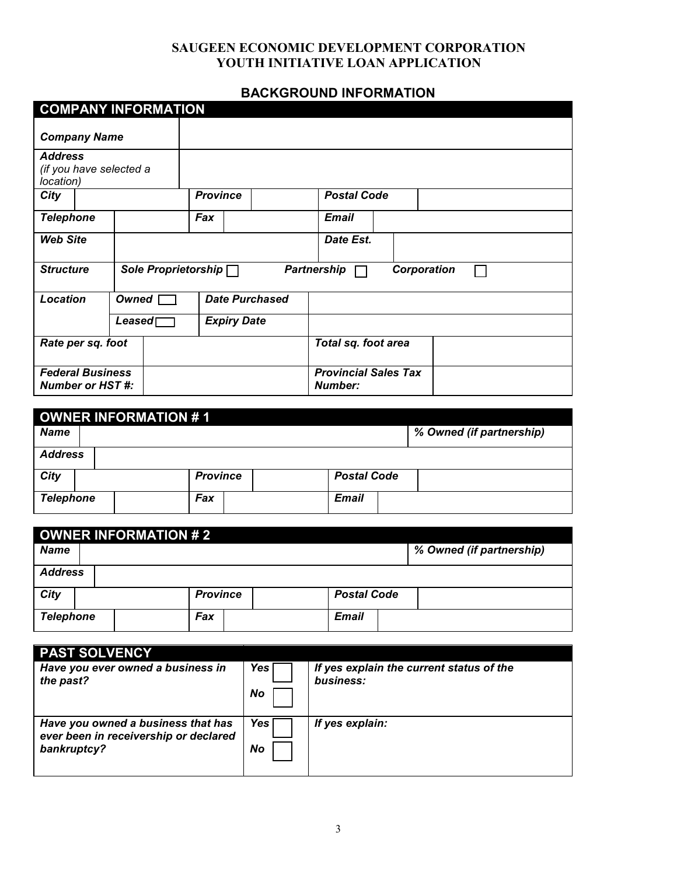# **BACKGROUND INFORMATION**

|                                                        |  |       | <b>COMPANY INFORMATION</b> |                       |                    |                     |                                        |             |  |
|--------------------------------------------------------|--|-------|----------------------------|-----------------------|--------------------|---------------------|----------------------------------------|-------------|--|
| <b>Company Name</b>                                    |  |       |                            |                       |                    |                     |                                        |             |  |
| <b>Address</b><br>(if you have selected a<br>location) |  |       |                            |                       |                    |                     |                                        |             |  |
| City                                                   |  |       |                            | <b>Province</b>       |                    |                     | <b>Postal Code</b>                     |             |  |
| <b>Telephone</b>                                       |  |       |                            | Fax                   |                    |                     | <b>Email</b>                           |             |  |
| <b>Web Site</b>                                        |  |       |                            |                       |                    |                     | Date Est.                              |             |  |
| <b>Structure</b>                                       |  |       | Sole Proprietorship $\Box$ |                       |                    |                     | <b>Partnership</b>                     | Corporation |  |
| Location                                               |  | Owned |                            | <b>Date Purchased</b> |                    |                     |                                        |             |  |
|                                                        |  |       | $\textsf{Leased}$          |                       | <b>Expiry Date</b> |                     |                                        |             |  |
| Rate per sq. foot                                      |  |       |                            |                       |                    | Total sq. foot area |                                        |             |  |
| <b>Federal Business</b><br><b>Number or HST#:</b>      |  |       |                            |                       |                    |                     | <b>Provincial Sales Tax</b><br>Number: |             |  |

|                  | OWNER INFORMATION #1 |                 |  |                    |                          |
|------------------|----------------------|-----------------|--|--------------------|--------------------------|
| <b>Name</b>      |                      |                 |  |                    | % Owned (if partnership) |
| <b>Address</b>   |                      |                 |  |                    |                          |
| City             |                      | <b>Province</b> |  | <b>Postal Code</b> |                          |
| <b>Telephone</b> |                      | <b>Fax</b>      |  | <b>Email</b>       |                          |

| OWNER INFORMATION #2 |                 |                          |
|----------------------|-----------------|--------------------------|
| <b>Name</b>          |                 | % Owned (if partnership) |
| <b>Address</b>       |                 |                          |
| City                 | <b>Province</b> | <b>Postal Code</b>       |
| <b>Telephone</b>     | Fax             | Email                    |

| <b>PAST SOLVENCY</b>                                                                       |             |                                                       |
|--------------------------------------------------------------------------------------------|-------------|-------------------------------------------------------|
| Have you ever owned a business in<br>the past?                                             | Yes l<br>No | If yes explain the current status of the<br>business: |
| Have you owned a business that has<br>ever been in receivership or declared<br>bankruptcy? | Yes<br>No   | If yes explain:                                       |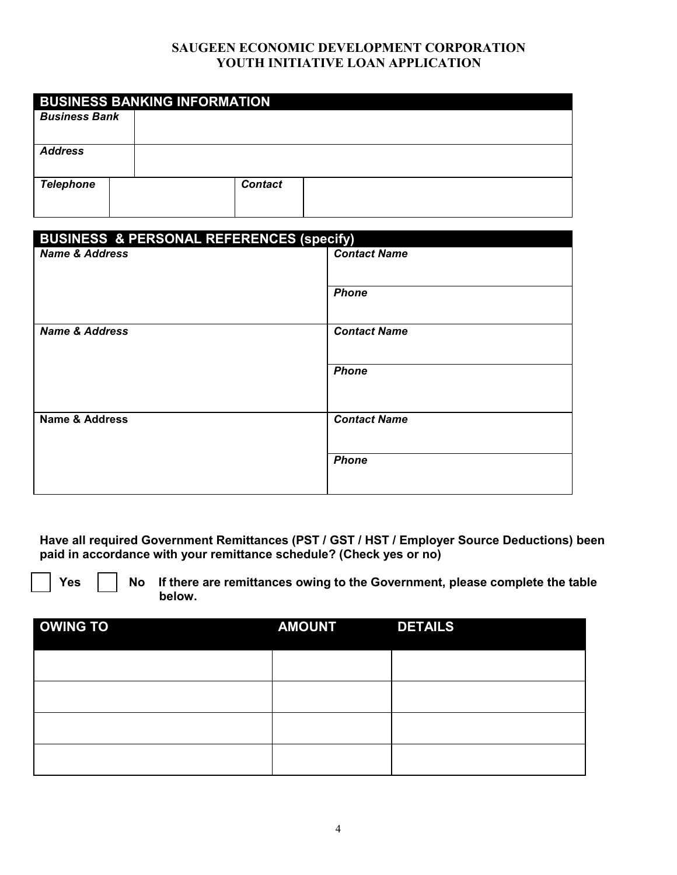|                      | <b>BUSINESS BANKING INFORMATION</b> |
|----------------------|-------------------------------------|
| <b>Business Bank</b> |                                     |
|                      |                                     |
| <b>Address</b>       |                                     |
| <b>Telephone</b>     | <b>Contact</b>                      |

| <b>BUSINESS &amp; PERSONAL REFERENCES (specify)</b> |                     |
|-----------------------------------------------------|---------------------|
| <b>Name &amp; Address</b>                           | <b>Contact Name</b> |
|                                                     |                     |
|                                                     | <b>Phone</b>        |
|                                                     |                     |
| <b>Name &amp; Address</b>                           | <b>Contact Name</b> |
|                                                     | <b>Phone</b>        |
|                                                     |                     |
| Name & Address                                      | <b>Contact Name</b> |
|                                                     | <b>Phone</b>        |

**Have all required Government Remittances (PST / GST / HST / Employer Source Deductions) been paid in accordance with your remittance schedule? (Check yes or no)** 



**No If there are remittances owing to the Government, please complete the table below.**

| <b>OWING TO</b> | <b>AMOUNT</b> | <b>DETAILS</b> |
|-----------------|---------------|----------------|
|                 |               |                |
|                 |               |                |
|                 |               |                |
|                 |               |                |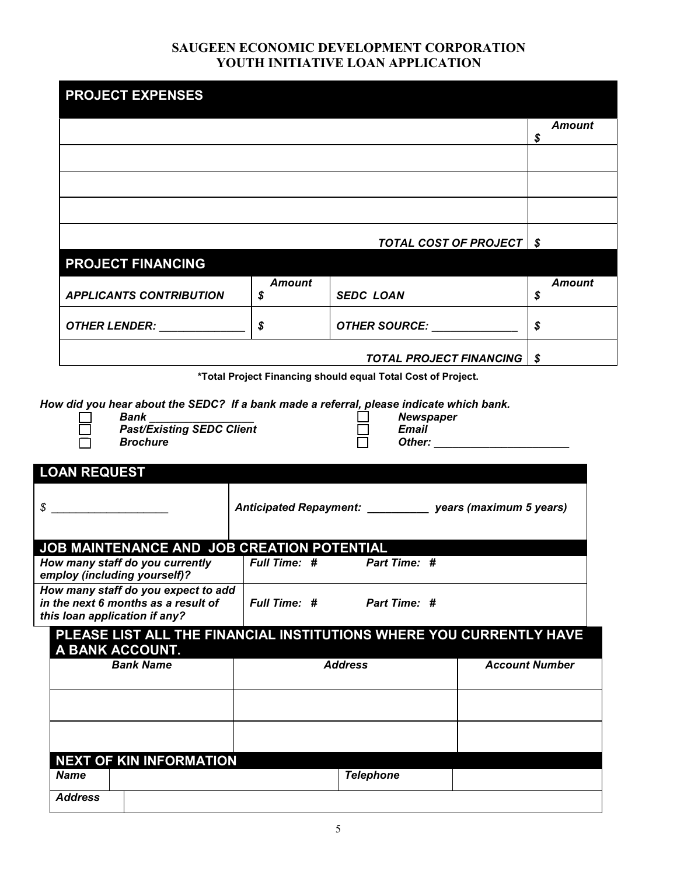|                                                                                                                                                                                                                                                                                                                                                                                                                                                                                                                                                                                                                                                                                                        |                     |                                                                                                                             | <b>Amount</b>         |
|--------------------------------------------------------------------------------------------------------------------------------------------------------------------------------------------------------------------------------------------------------------------------------------------------------------------------------------------------------------------------------------------------------------------------------------------------------------------------------------------------------------------------------------------------------------------------------------------------------------------------------------------------------------------------------------------------------|---------------------|-----------------------------------------------------------------------------------------------------------------------------|-----------------------|
|                                                                                                                                                                                                                                                                                                                                                                                                                                                                                                                                                                                                                                                                                                        |                     |                                                                                                                             | \$                    |
|                                                                                                                                                                                                                                                                                                                                                                                                                                                                                                                                                                                                                                                                                                        |                     |                                                                                                                             |                       |
|                                                                                                                                                                                                                                                                                                                                                                                                                                                                                                                                                                                                                                                                                                        |                     |                                                                                                                             |                       |
|                                                                                                                                                                                                                                                                                                                                                                                                                                                                                                                                                                                                                                                                                                        |                     |                                                                                                                             |                       |
|                                                                                                                                                                                                                                                                                                                                                                                                                                                                                                                                                                                                                                                                                                        |                     | TOTAL COST OF PROJECT   \$                                                                                                  |                       |
| <b>PROJECT FINANCING</b>                                                                                                                                                                                                                                                                                                                                                                                                                                                                                                                                                                                                                                                                               |                     |                                                                                                                             |                       |
| <b>APPLICANTS CONTRIBUTION</b>                                                                                                                                                                                                                                                                                                                                                                                                                                                                                                                                                                                                                                                                         | <b>Amount</b><br>\$ | <b>SEDC LOAN</b>                                                                                                            | <b>Amount</b><br>\$   |
| OTHER LENDER: NAMEL AND THE RESERVE THE RESERVE THAT A STATE OF THE RESERVE THE RESERVE THAT A STATE OF THE RE                                                                                                                                                                                                                                                                                                                                                                                                                                                                                                                                                                                         | \$                  | OTHER SOURCE: <u>_____________</u>                                                                                          | $\boldsymbol{s}$      |
|                                                                                                                                                                                                                                                                                                                                                                                                                                                                                                                                                                                                                                                                                                        |                     | <b>TOTAL PROJECT FINANCING</b>                                                                                              | <b>\$</b>             |
|                                                                                                                                                                                                                                                                                                                                                                                                                                                                                                                                                                                                                                                                                                        |                     | *Total Project Financing should equal Total Cost of Project.                                                                |                       |
| Bank<br><b>Past/Existing SEDC Client</b><br><b>Brochure</b>                                                                                                                                                                                                                                                                                                                                                                                                                                                                                                                                                                                                                                            |                     | How did you hear about the SEDC? If a bank made a referral, please indicate which bank.<br><b>Newspaper</b><br><b>Email</b> |                       |
|                                                                                                                                                                                                                                                                                                                                                                                                                                                                                                                                                                                                                                                                                                        |                     | Anticipated Repayment: ____________ years (maximum 5 years)                                                                 |                       |
|                                                                                                                                                                                                                                                                                                                                                                                                                                                                                                                                                                                                                                                                                                        |                     |                                                                                                                             |                       |
|                                                                                                                                                                                                                                                                                                                                                                                                                                                                                                                                                                                                                                                                                                        |                     |                                                                                                                             |                       |
|                                                                                                                                                                                                                                                                                                                                                                                                                                                                                                                                                                                                                                                                                                        | Full Time: #        | Part Time: #                                                                                                                |                       |
|                                                                                                                                                                                                                                                                                                                                                                                                                                                                                                                                                                                                                                                                                                        | Full Time: #        | Part Time: #                                                                                                                |                       |
|                                                                                                                                                                                                                                                                                                                                                                                                                                                                                                                                                                                                                                                                                                        |                     |                                                                                                                             |                       |
| <b>Bank Name</b>                                                                                                                                                                                                                                                                                                                                                                                                                                                                                                                                                                                                                                                                                       |                     | <b>Address</b>                                                                                                              | <b>Account Number</b> |
|                                                                                                                                                                                                                                                                                                                                                                                                                                                                                                                                                                                                                                                                                                        |                     |                                                                                                                             |                       |
|                                                                                                                                                                                                                                                                                                                                                                                                                                                                                                                                                                                                                                                                                                        |                     |                                                                                                                             |                       |
| <b>LOAN REQUEST</b><br>$\frac{1}{2}$ $\frac{1}{2}$ $\frac{1}{2}$ $\frac{1}{2}$ $\frac{1}{2}$ $\frac{1}{2}$ $\frac{1}{2}$ $\frac{1}{2}$ $\frac{1}{2}$ $\frac{1}{2}$ $\frac{1}{2}$ $\frac{1}{2}$ $\frac{1}{2}$ $\frac{1}{2}$ $\frac{1}{2}$ $\frac{1}{2}$ $\frac{1}{2}$ $\frac{1}{2}$ $\frac{1}{2}$ $\frac{1}{2}$ $\frac{1}{2}$ $\frac{1}{2}$<br>JOB MAINTENANCE AND JOB CREATION POTENTIAL<br>How many staff do you currently<br>employ (including yourself)?<br>How many staff do you expect to add<br>in the next 6 months as a result of<br>this loan application if any?<br>PLEASE LIST ALL THE FINANCIAL INSTITUTIONS WHERE YOU CURRENTLY HAVE<br>A BANK ACCOUNT.<br><b>NEXT OF KIN INFORMATION</b> |                     |                                                                                                                             |                       |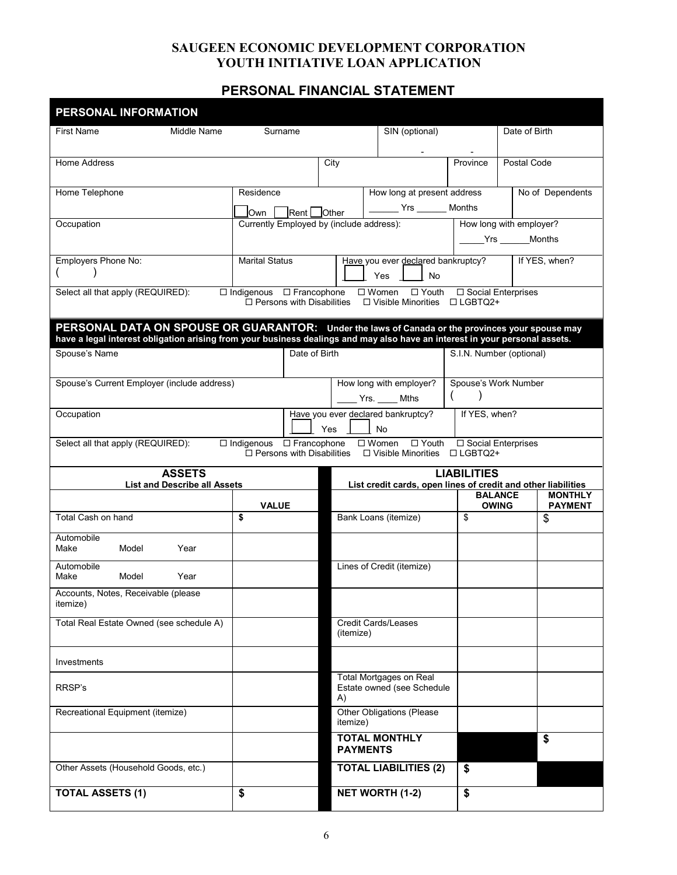# **PERSONAL FINANCIAL STATEMENT**

| PERSONAL INFORMATION                                                                                                                                                                                                           |                                                                          |                   |           |                                                                                                 |                                                  |                                |                                  |
|--------------------------------------------------------------------------------------------------------------------------------------------------------------------------------------------------------------------------------|--------------------------------------------------------------------------|-------------------|-----------|-------------------------------------------------------------------------------------------------|--------------------------------------------------|--------------------------------|----------------------------------|
| <b>First Name</b><br>Middle Name                                                                                                                                                                                               | Surname                                                                  |                   |           | SIN (optional)                                                                                  |                                                  | Date of Birth                  |                                  |
| Home Address                                                                                                                                                                                                                   |                                                                          |                   | City      |                                                                                                 | Province                                         | Postal Code                    |                                  |
| Home Telephone                                                                                                                                                                                                                 | Residence                                                                |                   |           | How long at present address<br>Yrs _______ Months                                               |                                                  |                                | No of Dependents                 |
| Occupation                                                                                                                                                                                                                     | Own I<br>Currently Employed by (include address):                        | Rent <b>Other</b> |           |                                                                                                 | How long with employer?<br>_____Yrs ______Months |                                |                                  |
| Employers Phone No:                                                                                                                                                                                                            | <b>Marital Status</b>                                                    |                   |           | Have you ever declared bankruptcy?<br>Yes<br>No                                                 |                                                  |                                | If YES, when?                    |
| Select all that apply (REQUIRED):                                                                                                                                                                                              | $\Box$ Indigenous $\Box$ Francophone<br>$\Box$ Persons with Disabilities |                   |           | $\Box$ Women $\Box$ Youth $\Box$ Social Enterprises<br>$\Box$ Visible Minorities $\Box$ LGBTQ2+ |                                                  |                                |                                  |
| PERSONAL DATA ON SPOUSE OR GUARANTOR: Under the laws of Canada or the provinces your spouse may<br>have a legal interest obligation arising from your business dealings and may also have an interest in your personal assets. |                                                                          |                   |           |                                                                                                 |                                                  |                                |                                  |
| Spouse's Name                                                                                                                                                                                                                  |                                                                          | Date of Birth     |           |                                                                                                 | S.I.N. Number (optional)                         |                                |                                  |
| Spouse's Current Employer (include address)                                                                                                                                                                                    |                                                                          |                   |           | How long with employer?<br>$\frac{1}{2}$ Yrs. $\frac{1}{2}$ Mths                                | Spouse's Work Number                             |                                |                                  |
| Occupation                                                                                                                                                                                                                     |                                                                          |                   | Yes       | Have you ever declared bankruptcy?<br>No                                                        | If YES, when?                                    |                                |                                  |
| Select all that apply (REQUIRED):                                                                                                                                                                                              | □ Indigenous □ Francophone<br>$\Box$ Persons with Disabilities           |                   |           | □ Women<br>$\Box$ Youth<br>$\square$ Visible Minorities                                         | □ Social Enterprises<br>□ LGBTQ2+                |                                |                                  |
| <b>ASSETS</b><br><b>List and Describe all Assets</b>                                                                                                                                                                           |                                                                          |                   |           | List credit cards, open lines of credit and other liabilities                                   | <b>LIABILITIES</b>                               |                                |                                  |
|                                                                                                                                                                                                                                | <b>VALUE</b>                                                             |                   |           |                                                                                                 |                                                  | <b>BALANCE</b><br><b>OWING</b> | <b>MONTHLY</b><br><b>PAYMENT</b> |
| Total Cash on hand                                                                                                                                                                                                             | \$                                                                       |                   |           | Bank Loans (itemize)                                                                            | \$                                               |                                | \$                               |
| Automobile<br>Make<br>Model<br>Year                                                                                                                                                                                            |                                                                          |                   |           |                                                                                                 |                                                  |                                |                                  |
| Automobile<br>Model<br>Year<br>Make                                                                                                                                                                                            |                                                                          |                   |           | Lines of Credit (itemize)                                                                       |                                                  |                                |                                  |
| Accounts, Notes, Receivable (please<br>itemize)                                                                                                                                                                                |                                                                          |                   |           |                                                                                                 |                                                  |                                |                                  |
| Total Real Estate Owned (see schedule A)                                                                                                                                                                                       |                                                                          |                   | (itemize) | Credit Cards/Leases                                                                             |                                                  |                                |                                  |
| Investments                                                                                                                                                                                                                    |                                                                          |                   |           |                                                                                                 |                                                  |                                |                                  |
| RRSP's                                                                                                                                                                                                                         |                                                                          |                   | A)        | <b>Total Mortgages on Real</b><br>Estate owned (see Schedule                                    |                                                  |                                |                                  |
| Recreational Equipment (itemize)                                                                                                                                                                                               |                                                                          |                   | itemize)  | Other Obligations (Please                                                                       |                                                  |                                |                                  |
|                                                                                                                                                                                                                                |                                                                          |                   |           | <b>TOTAL MONTHLY</b><br><b>PAYMENTS</b>                                                         |                                                  |                                | \$                               |
| Other Assets (Household Goods, etc.)                                                                                                                                                                                           |                                                                          |                   |           | <b>TOTAL LIABILITIES (2)</b>                                                                    | \$                                               |                                |                                  |
| <b>TOTAL ASSETS (1)</b>                                                                                                                                                                                                        | \$                                                                       |                   |           | <b>NET WORTH (1-2)</b>                                                                          | \$                                               |                                |                                  |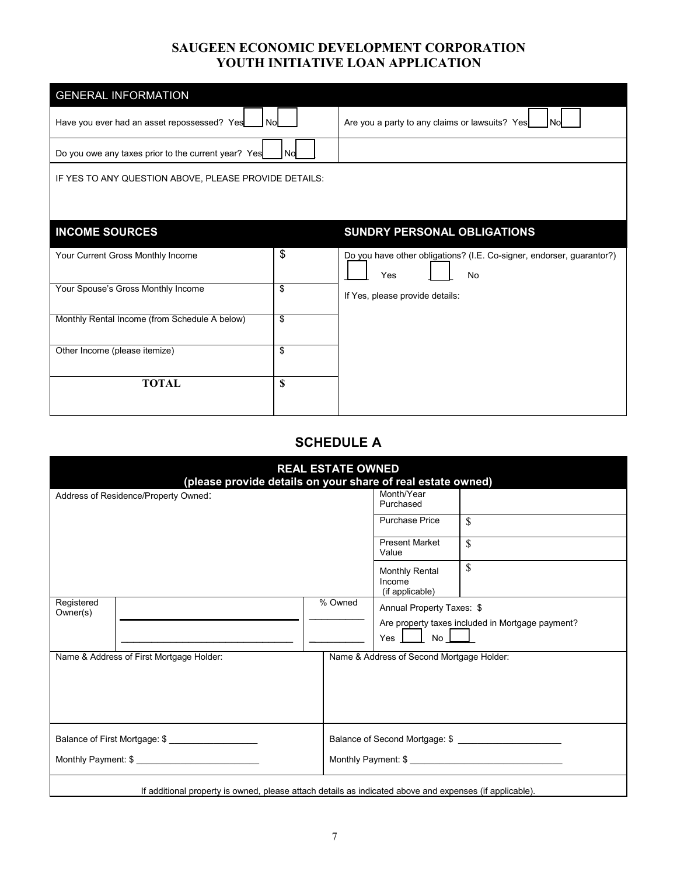| <b>GENERAL INFORMATION</b>                            |    |                                                                                    |
|-------------------------------------------------------|----|------------------------------------------------------------------------------------|
| Have you ever had an asset repossessed? Yes           | No | Are you a party to any claims or lawsuits? Yes<br>l Nol                            |
| Do you owe any taxes prior to the current year? Yes   | Nd |                                                                                    |
| IF YES TO ANY QUESTION ABOVE, PLEASE PROVIDE DETAILS: |    |                                                                                    |
|                                                       |    |                                                                                    |
| <b>INCOME SOURCES</b>                                 |    | SUNDRY PERSONAL OBLIGATIONS                                                        |
| Your Current Gross Monthly Income                     | \$ | Do you have other obligations? (I.E. Co-signer, endorser, guarantor?)<br>Yes<br>No |
| Your Spouse's Gross Monthly Income                    | \$ | If Yes, please provide details:                                                    |
| Monthly Rental Income (from Schedule A below)         | \$ |                                                                                    |
| Other Income (please itemize)                         | \$ |                                                                                    |
| <b>TOTAL</b>                                          | \$ |                                                                                    |

# **SCHEDULE A**

|                        | (please provide details on your share of real estate owned)                                             | <b>REAL ESTATE OWNED</b> |                                                    |                                                  |
|------------------------|---------------------------------------------------------------------------------------------------------|--------------------------|----------------------------------------------------|--------------------------------------------------|
|                        | Address of Residence/Property Owned:                                                                    |                          | Month/Year<br>Purchased                            |                                                  |
|                        |                                                                                                         |                          | <b>Purchase Price</b>                              | \$                                               |
|                        |                                                                                                         |                          | <b>Present Market</b><br>Value                     | \$                                               |
|                        |                                                                                                         |                          | <b>Monthly Rental</b><br>Income<br>(if applicable) | \$                                               |
| Registered<br>Owner(s) |                                                                                                         | % Owned                  | Annual Property Taxes: \$                          |                                                  |
|                        |                                                                                                         |                          |                                                    | Are property taxes included in Mortgage payment? |
|                        |                                                                                                         |                          | $Yes \quad No \quad \boxed{\qquad}$                |                                                  |
|                        | Name & Address of First Mortgage Holder:                                                                |                          | Name & Address of Second Mortgage Holder:          |                                                  |
|                        | Balance of First Mortgage: \$                                                                           |                          |                                                    |                                                  |
|                        | Monthly Payment: \$                                                                                     |                          |                                                    | Monthly Payment: \$                              |
|                        | If additional property is owned, please attach details as indicated above and expenses (if applicable). |                          |                                                    |                                                  |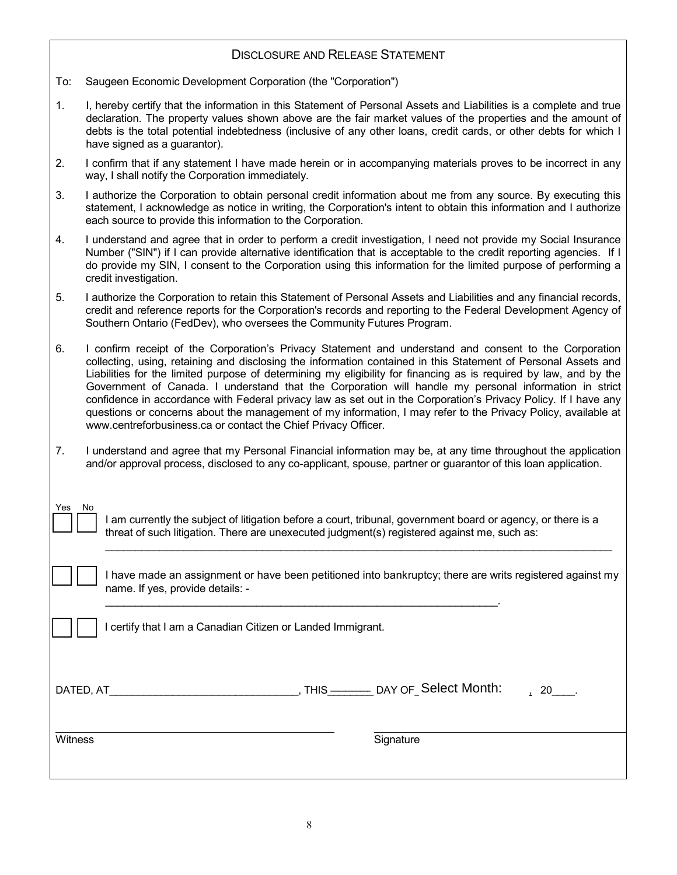### DISCLOSURE AND RELEASE STATEMENT

- To: Saugeen Economic Development Corporation (the "Corporation")
- 1. I, hereby certify that the information in this Statement of Personal Assets and Liabilities is a complete and true declaration. The property values shown above are the fair market values of the properties and the amount of debts is the total potential indebtedness (inclusive of any other loans, credit cards, or other debts for which I have signed as a guarantor).
- 2. I confirm that if any statement I have made herein or in accompanying materials proves to be incorrect in any way, I shall notify the Corporation immediately.
- 3. I authorize the Corporation to obtain personal credit information about me from any source. By executing this statement, I acknowledge as notice in writing, the Corporation's intent to obtain this information and I authorize each source to provide this information to the Corporation.
- 4. I understand and agree that in order to perform a credit investigation, I need not provide my Social Insurance Number ("SIN") if I can provide alternative identification that is acceptable to the credit reporting agencies. If I do provide my SIN, I consent to the Corporation using this information for the limited purpose of performing a credit investigation.
- 5. I authorize the Corporation to retain this Statement of Personal Assets and Liabilities and any financial records, credit and reference reports for the Corporation's records and reporting to the Federal Development Agency of Southern Ontario (FedDev), who oversees the Community Futures Program.
- 6. I confirm receipt of the Corporation's Privacy Statement and understand and consent to the Corporation collecting, using, retaining and disclosing the information contained in this Statement of Personal Assets and Liabilities for the limited purpose of determining my eligibility for financing as is required by law, and by the Government of Canada. I understand that the Corporation will handle my personal information in strict confidence in accordance with Federal privacy law as set out in the Corporation's Privacy Policy. If I have any questions or concerns about the management of my information, I may refer to the Privacy Policy, available at www.centreforbusiness.ca or contact the Chief Privacy Officer.
- 7. I understand and agree that my Personal Financial information may be, at any time throughout the application and/or approval process, disclosed to any co-applicant, spouse, partner or guarantor of this loan application.

| Yes | No. | I am currently the subject of litigation before a court, tribunal, government board or agency, or there is a<br>threat of such litigation. There are unexecuted judgment(s) registered against me, such as: |
|-----|-----|-------------------------------------------------------------------------------------------------------------------------------------------------------------------------------------------------------------|
|     |     | I have made an assignment or have been petitioned into bankruptcy; there are writs registered against my<br>name. If yes, provide details: -                                                                |

\_\_\_\_\_\_\_\_\_\_\_\_\_\_\_\_\_\_\_\_\_\_\_\_\_\_\_\_\_\_\_\_\_\_\_\_\_\_\_\_\_\_\_\_\_\_\_\_\_\_\_\_\_\_\_\_\_\_\_\_\_\_\_\_\_.

I certify that I am a Canadian Citizen or Landed Immigrant.

DATED, AT\_\_\_\_\_\_\_\_\_\_\_\_\_\_\_\_\_\_\_\_\_\_\_\_\_\_\_\_\_\_\_\_\_, THIS\_\_\_\_\_\_\_\_ DAY OF\_\_\_\_\_\_\_\_\_\_\_\_\_\_\_\_\_\_\_\_, 20\_\_\_\_. \_\_\_\_\_\_\_\_ Select Month:

Witness Signature Signature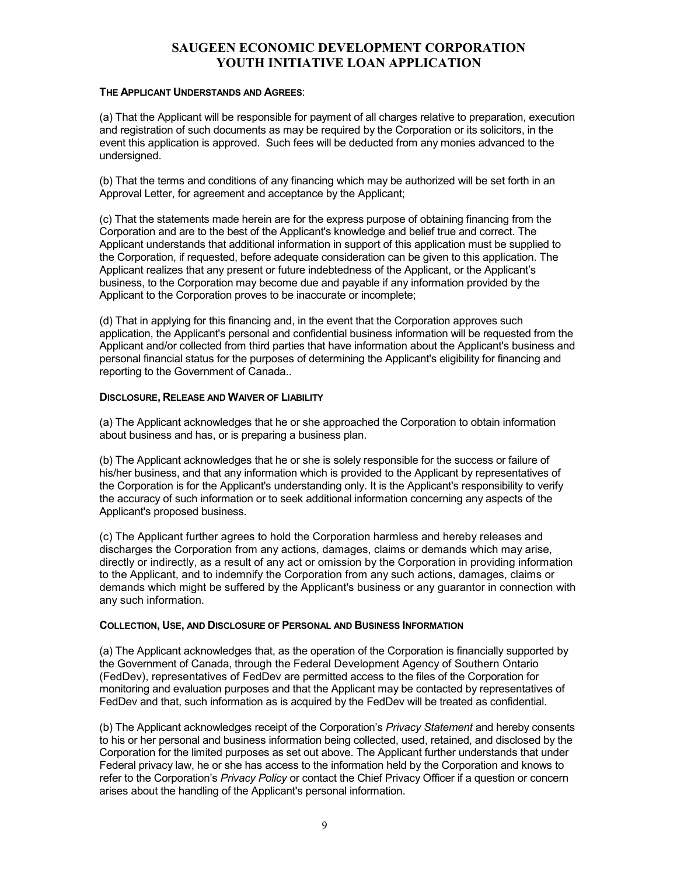#### **THE APPLICANT UNDERSTANDS AND AGREES**:

(a) That the Applicant will be responsible for payment of all charges relative to preparation, execution and registration of such documents as may be required by the Corporation or its solicitors, in the event this application is approved. Such fees will be deducted from any monies advanced to the undersigned.

(b) That the terms and conditions of any financing which may be authorized will be set forth in an Approval Letter, for agreement and acceptance by the Applicant;

(c) That the statements made herein are for the express purpose of obtaining financing from the Corporation and are to the best of the Applicant's knowledge and belief true and correct. The Applicant understands that additional information in support of this application must be supplied to the Corporation, if requested, before adequate consideration can be given to this application. The Applicant realizes that any present or future indebtedness of the Applicant, or the Applicant's business, to the Corporation may become due and payable if any information provided by the Applicant to the Corporation proves to be inaccurate or incomplete;

(d) That in applying for this financing and, in the event that the Corporation approves such application, the Applicant's personal and confidential business information will be requested from the Applicant and/or collected from third parties that have information about the Applicant's business and personal financial status for the purposes of determining the Applicant's eligibility for financing and reporting to the Government of Canada..

#### **DISCLOSURE, RELEASE AND WAIVER OF LIABILITY**

(a) The Applicant acknowledges that he or she approached the Corporation to obtain information about business and has, or is preparing a business plan.

(b) The Applicant acknowledges that he or she is solely responsible for the success or failure of his/her business, and that any information which is provided to the Applicant by representatives of the Corporation is for the Applicant's understanding only. It is the Applicant's responsibility to verify the accuracy of such information or to seek additional information concerning any aspects of the Applicant's proposed business.

(c) The Applicant further agrees to hold the Corporation harmless and hereby releases and discharges the Corporation from any actions, damages, claims or demands which may arise, directly or indirectly, as a result of any act or omission by the Corporation in providing information to the Applicant, and to indemnify the Corporation from any such actions, damages, claims or demands which might be suffered by the Applicant's business or any guarantor in connection with any such information.

#### **COLLECTION, USE, AND DISCLOSURE OF PERSONAL AND BUSINESS INFORMATION**

(a) The Applicant acknowledges that, as the operation of the Corporation is financially supported by the Government of Canada, through the Federal Development Agency of Southern Ontario (FedDev), representatives of FedDev are permitted access to the files of the Corporation for monitoring and evaluation purposes and that the Applicant may be contacted by representatives of FedDev and that, such information as is acquired by the FedDev will be treated as confidential.

(b) The Applicant acknowledges receipt of the Corporation's *Privacy Statement* and hereby consents to his or her personal and business information being collected, used, retained, and disclosed by the Corporation for the limited purposes as set out above. The Applicant further understands that under Federal privacy law, he or she has access to the information held by the Corporation and knows to refer to the Corporation's *Privacy Policy* or contact the Chief Privacy Officer if a question or concern arises about the handling of the Applicant's personal information.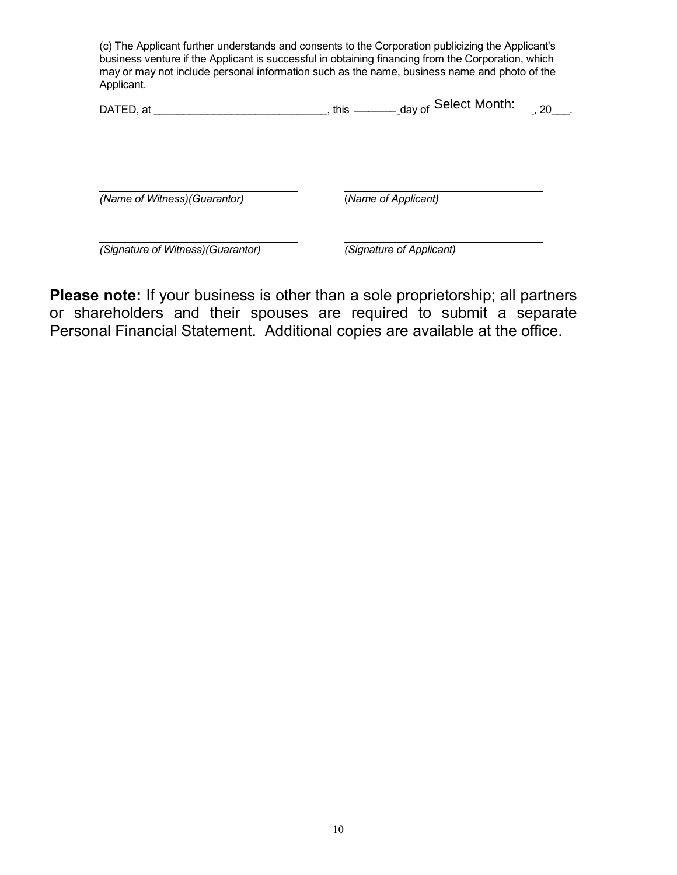(c) The Applicant further understands and consents to the Corporation publicizing the Applicant's business venture if the Applicant is successful in obtaining financing from the Corporation, which may or may not include personal information such as the name, business name and photo of the Applicant.

| <b>DATED</b><br>аt | this | $\mathcal{F}$ Select Month:<br>day of | 2C<br>∠⊾ |  |
|--------------------|------|---------------------------------------|----------|--|
|                    |      |                                       |          |  |

*(Name of Witness)(Guarantor)*

(*Name of Applicant)*

 $\overline{\phantom{a}}$ 

*(Signature of Witness)(Guarantor) (Signature of Applicant)*

**Please note:** If your business is other than a sole proprietorship; all partners or shareholders and their spouses are required to submit a separate Personal Financial Statement. Additional copies are available at the office.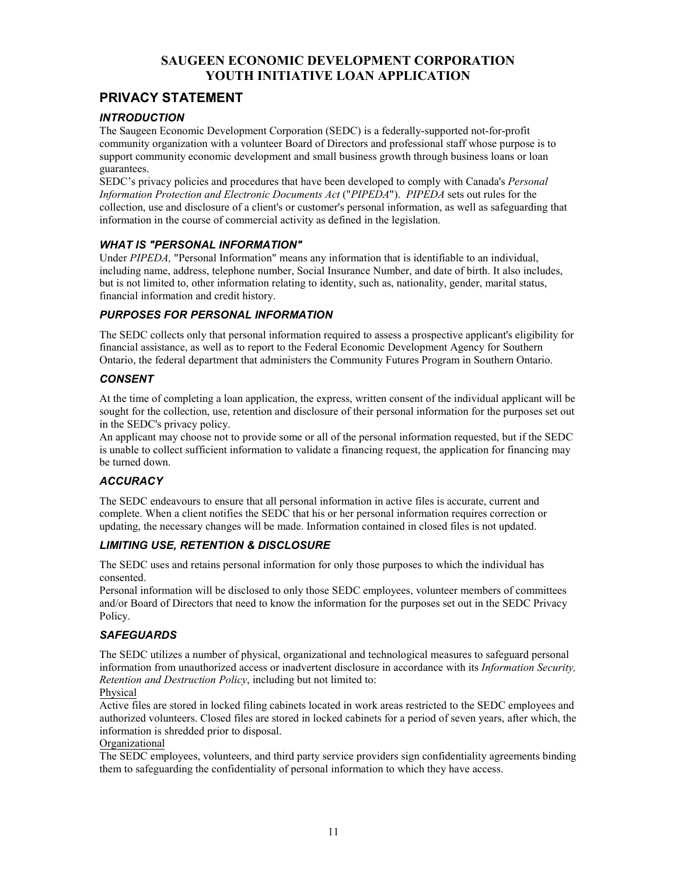### **PRIVACY STATEMENT**

### *INTRODUCTION*

The Saugeen Economic Development Corporation (SEDC) is a federally-supported not-for-profit community organization with a volunteer Board of Directors and professional staff whose purpose is to support community economic development and small business growth through business loans or loan guarantees.

SEDC's privacy policies and procedures that have been developed to comply with Canada's *Personal Information Protection and Electronic Documents Act* ("*PIPEDA*"). *PIPEDA* sets out rules for the collection, use and disclosure of a client's or customer's personal information, as well as safeguarding that information in the course of commercial activity as defined in the legislation.

### *WHAT IS "PERSONAL INFORMATION"*

Under *PIPEDA,* "Personal Information" means any information that is identifiable to an individual, including name, address, telephone number, Social Insurance Number, and date of birth. It also includes, but is not limited to, other information relating to identity, such as, nationality, gender, marital status, financial information and credit history.

### *PURPOSES FOR PERSONAL INFORMATION*

The SEDC collects only that personal information required to assess a prospective applicant's eligibility for financial assistance, as well as to report to the Federal Economic Development Agency for Southern Ontario, the federal department that administers the Community Futures Program in Southern Ontario.

### *CONSENT*

At the time of completing a loan application, the express, written consent of the individual applicant will be sought for the collection, use, retention and disclosure of their personal information for the purposes set out in the SEDC's privacy policy.

An applicant may choose not to provide some or all of the personal information requested, but if the SEDC is unable to collect sufficient information to validate a financing request, the application for financing may be turned down.

### *ACCURACY*

The SEDC endeavours to ensure that all personal information in active files is accurate, current and complete. When a client notifies the SEDC that his or her personal information requires correction or updating, the necessary changes will be made. Information contained in closed files is not updated.

### *LIMITING USE, RETENTION & DISCLOSURE*

The SEDC uses and retains personal information for only those purposes to which the individual has consented.

Personal information will be disclosed to only those SEDC employees, volunteer members of committees and/or Board of Directors that need to know the information for the purposes set out in the SEDC Privacy Policy.

### *SAFEGUARDS*

The SEDC utilizes a number of physical, organizational and technological measures to safeguard personal information from unauthorized access or inadvertent disclosure in accordance with its *Information Security, Retention and Destruction Policy*, including but not limited to:

#### Physical

Active files are stored in locked filing cabinets located in work areas restricted to the SEDC employees and authorized volunteers. Closed files are stored in locked cabinets for a period of seven years, after which, the information is shredded prior to disposal.

### Organizational

The SEDC employees, volunteers, and third party service providers sign confidentiality agreements binding them to safeguarding the confidentiality of personal information to which they have access.